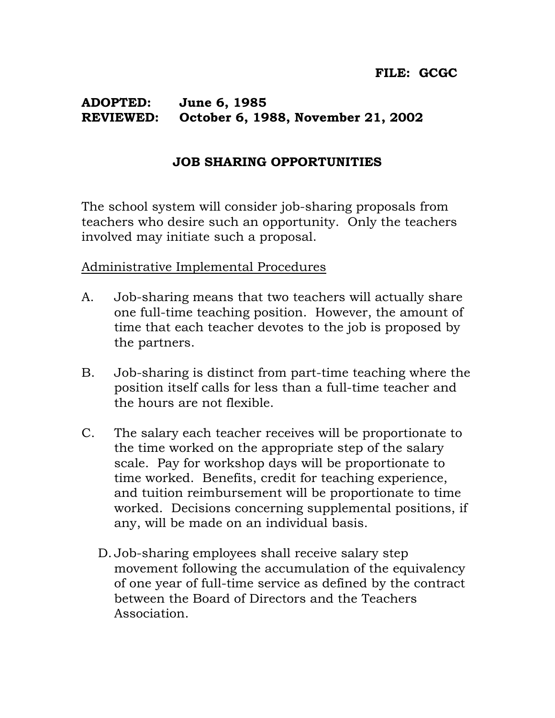## **ADOPTED: June 6, 1985 REVIEWED: October 6, 1988, November 21, 2002**

## **JOB SHARING OPPORTUNITIES**

The school system will consider job-sharing proposals from teachers who desire such an opportunity. Only the teachers involved may initiate such a proposal.

## Administrative Implemental Procedures

- A. Job-sharing means that two teachers will actually share one full-time teaching position. However, the amount of time that each teacher devotes to the job is proposed by the partners.
- B. Job-sharing is distinct from part-time teaching where the position itself calls for less than a full-time teacher and the hours are not flexible.
- C. The salary each teacher receives will be proportionate to the time worked on the appropriate step of the salary scale. Pay for workshop days will be proportionate to time worked. Benefits, credit for teaching experience, and tuition reimbursement will be proportionate to time worked. Decisions concerning supplemental positions, if any, will be made on an individual basis.
	- D. Job-sharing employees shall receive salary step movement following the accumulation of the equivalency of one year of full-time service as defined by the contract between the Board of Directors and the Teachers Association.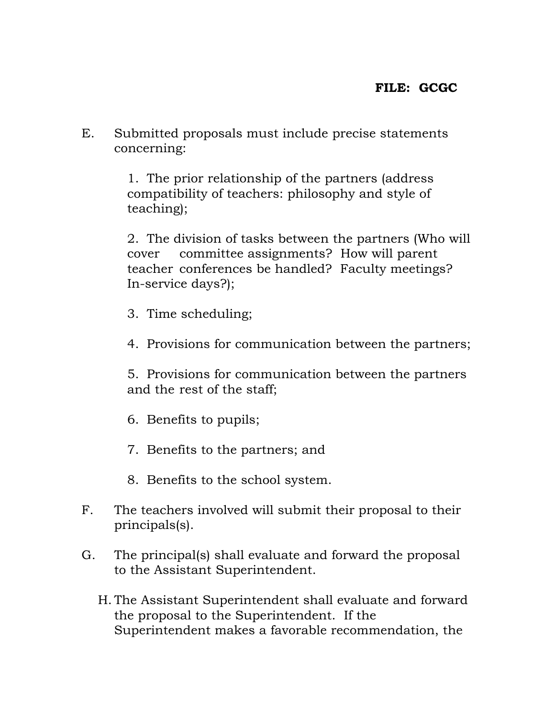## **FILE: GCGC**

E. Submitted proposals must include precise statements concerning:

> 1. The prior relationship of the partners (address compatibility of teachers: philosophy and style of teaching);

 2. The division of tasks between the partners (Who will cover committee assignments? How will parent teacher conferences be handled? Faculty meetings? In-service days?);

- 3. Time scheduling;
- 4. Provisions for communication between the partners;

 5. Provisions for communication between the partners and the rest of the staff;

- 6. Benefits to pupils;
- 7. Benefits to the partners; and
- 8. Benefits to the school system.
- F. The teachers involved will submit their proposal to their principals(s).
- G. The principal(s) shall evaluate and forward the proposal to the Assistant Superintendent.
	- H. The Assistant Superintendent shall evaluate and forward the proposal to the Superintendent. If the Superintendent makes a favorable recommendation, the